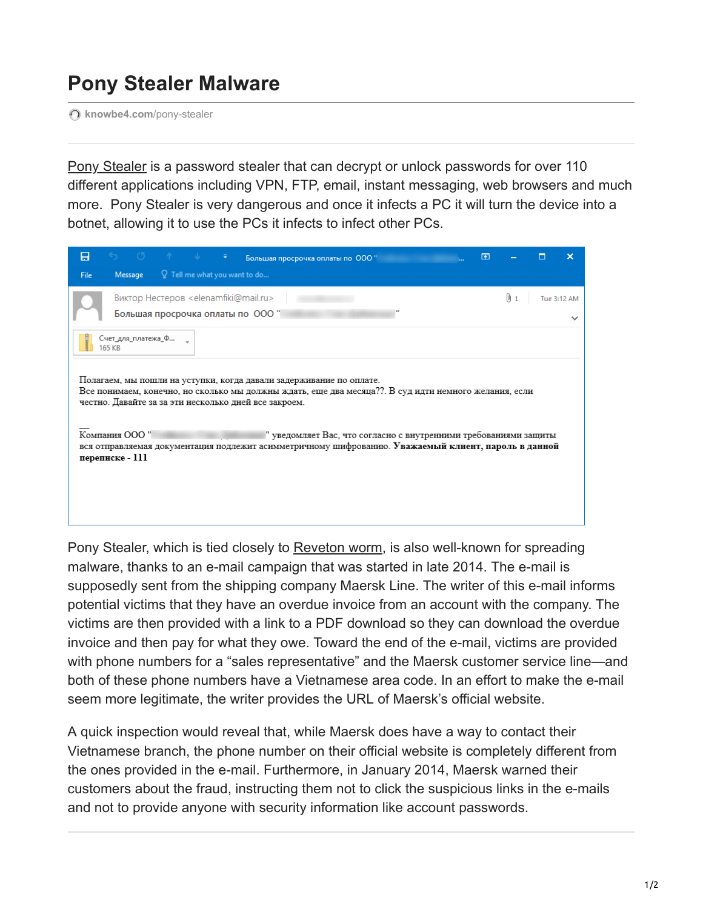## **Pony Stealer Malware**

**[knowbe4.com](https://www.knowbe4.com/pony-stealer)**/pony-stealer

[Pony Stealer](https://blog.knowbe4.com/bid/394854/Reveton-Ransomware-Adds-Powerful-Password-Stealer?__hstc=233546881.844b4d6849cd498f0d57def1f8935536.1561649601045.1564418051055.1564426735099.59&__hssc=233546881.37.1564426735099&__hsfp=795958446&hsLang=en) is a password stealer that can decrypt or unlock passwords for over 110 different applications including VPN, FTP, email, instant messaging, web browsers and much more. Pony Stealer is very dangerous and once it infects a PC it will turn the device into a botnet, allowing it to use the PCs it infects to infect other PCs.

| Вольшая просрочка оплаты по 000 "<br>日                                                                                                                                                   | 闲 |                                                |             |  |
|------------------------------------------------------------------------------------------------------------------------------------------------------------------------------------------|---|------------------------------------------------|-------------|--|
| <b>Message</b> $\qquad$ $\qquad$ $\qquad$ Tell me what you want to do<br><b>File</b>                                                                                                     |   |                                                |             |  |
| Виктор Нестеров <elenamfiki@mail.ru></elenamfiki@mail.ru>                                                                                                                                |   | $\begin{bmatrix} 0 & 1 \\ 1 & 1 \end{bmatrix}$ | Tue 3:12 AM |  |
| Большая просрочка оплаты по ООО "                                                                                                                                                        |   |                                                |             |  |
| Счет_для_платежа_Ф<br>165 KB                                                                                                                                                             |   |                                                |             |  |
|                                                                                                                                                                                          |   |                                                |             |  |
| Полагаем, мы пошли на уступки, когда давали задерживание по оплате.                                                                                                                      |   |                                                |             |  |
| Все понимаем, конечно, но сколько мы должны ждать, еще два месяца??. В суд идти немного желания, если<br>честно. Давайте за за эти несколько дней все закроем.                           |   |                                                |             |  |
|                                                                                                                                                                                          |   |                                                |             |  |
| Компания ООО"<br>" уведомляет Вас, что согласно с внутренними требованиями защиты<br>вся отправляемая документация подлежит асимметричному шифрованию. Уважаемый клиент, пароль в данной |   |                                                |             |  |
| переписке - 111                                                                                                                                                                          |   |                                                |             |  |
|                                                                                                                                                                                          |   |                                                |             |  |
|                                                                                                                                                                                          |   |                                                |             |  |
|                                                                                                                                                                                          |   |                                                |             |  |

Pony Stealer, which is tied closely to [Reveton worm](https://www.knowbe4.com/reveton-worm?hsLang=en), is also well-known for spreading malware, thanks to an e-mail campaign that was started in late 2014. The e-mail is supposedly sent from the shipping company Maersk Line. The writer of this e-mail informs potential victims that they have an overdue invoice from an account with the company. The victims are then provided with a link to a PDF download so they can download the overdue invoice and then pay for what they owe. Toward the end of the e-mail, victims are provided with phone numbers for a "sales representative" and the Maersk customer service line—and both of these phone numbers have a Vietnamese area code. In an effort to make the e-mail seem more legitimate, the writer provides the URL of Maersk's official website.

A quick inspection would reveal that, while Maersk does have a way to contact their Vietnamese branch, the phone number on their official website is completely different from the ones provided in the e-mail. Furthermore, in January 2014, Maersk warned their customers about the fraud, instructing them not to click the suspicious links in the e-mails and not to provide anyone with security information like account passwords.